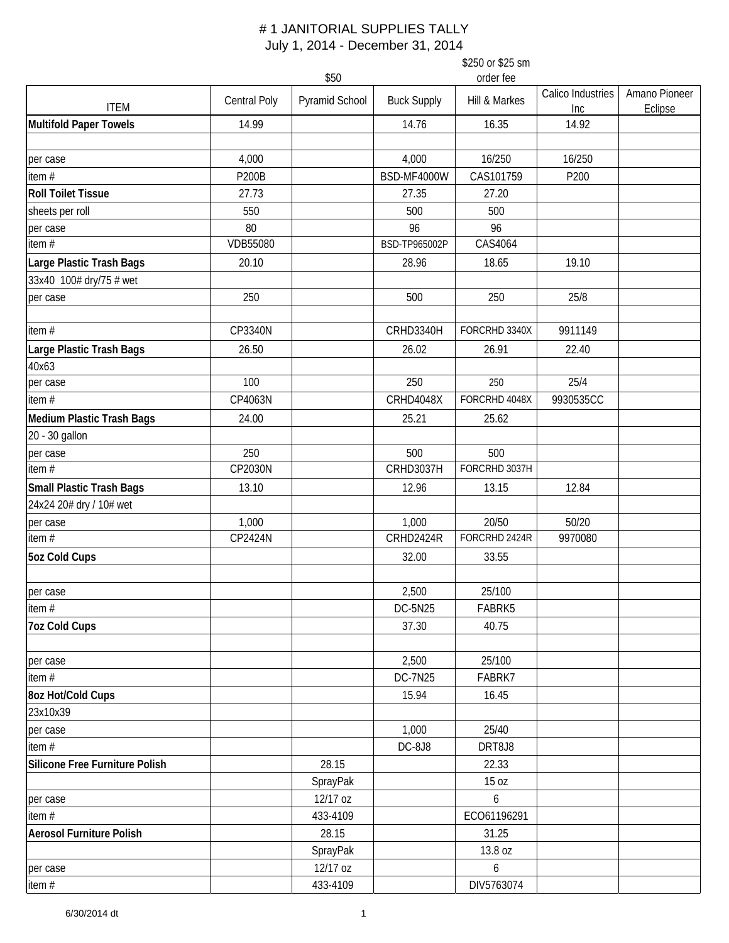|                                  | \$250 or \$25 sm<br>\$50<br>order fee |                |                    |               |                   |               |  |  |
|----------------------------------|---------------------------------------|----------------|--------------------|---------------|-------------------|---------------|--|--|
|                                  | <b>Central Poly</b>                   | Pyramid School | <b>Buck Supply</b> | Hill & Markes | Calico Industries | Amano Pioneer |  |  |
| <b>ITEM</b>                      |                                       |                |                    |               | Inc               | Eclipse       |  |  |
| <b>Multifold Paper Towels</b>    | 14.99                                 |                | 14.76              | 16.35         | 14.92             |               |  |  |
| per case                         | 4,000                                 |                | 4,000              | 16/250        | 16/250            |               |  |  |
| item $#$                         | <b>P200B</b>                          |                | BSD-MF4000W        | CAS101759     | P200              |               |  |  |
| <b>Roll Toilet Tissue</b>        | 27.73                                 |                | 27.35              | 27.20         |                   |               |  |  |
| sheets per roll                  | 550                                   |                | 500                | 500           |                   |               |  |  |
| per case                         | 80                                    |                | 96                 | 96            |                   |               |  |  |
| item $#$                         | <b>VDB55080</b>                       |                | BSD-TP965002P      | CAS4064       |                   |               |  |  |
| Large Plastic Trash Bags         | 20.10                                 |                | 28.96              | 18.65         | 19.10             |               |  |  |
| 33x40 100# dry/75 # wet          |                                       |                |                    |               |                   |               |  |  |
| per case                         | 250                                   |                | 500                | 250           | 25/8              |               |  |  |
| item $#$                         | CP3340N                               |                | CRHD3340H          | FORCRHD 3340X | 9911149           |               |  |  |
| Large Plastic Trash Bags         | 26.50                                 |                | 26.02              | 26.91         | 22.40             |               |  |  |
| 40x63                            |                                       |                |                    |               |                   |               |  |  |
| per case                         | 100                                   |                | 250                | 250           | 25/4              |               |  |  |
| item $#$                         | CP4063N                               |                | CRHD4048X          | FORCRHD 4048X | 9930535CC         |               |  |  |
| <b>Medium Plastic Trash Bags</b> | 24.00                                 |                | 25.21              | 25.62         |                   |               |  |  |
| 20 - 30 gallon                   |                                       |                |                    |               |                   |               |  |  |
| per case                         | 250                                   |                | 500                | 500           |                   |               |  |  |
| item $#$                         | CP2030N                               |                | <b>CRHD3037H</b>   | FORCRHD 3037H |                   |               |  |  |
| <b>Small Plastic Trash Bags</b>  | 13.10                                 |                | 12.96              | 13.15         | 12.84             |               |  |  |
| 24x24 20# dry / 10# wet          |                                       |                |                    |               |                   |               |  |  |
| per case                         | 1,000                                 |                | 1,000              | 20/50         | 50/20             |               |  |  |
| item $#$                         | CP2424N                               |                | CRHD2424R          | FORCRHD 2424R | 9970080           |               |  |  |
| <b>5oz Cold Cups</b>             |                                       |                | 32.00              | 33.55         |                   |               |  |  |
| per case                         |                                       |                | 2,500              | 25/100        |                   |               |  |  |
| item $#$                         |                                       |                | DC-5N25            | FABRK5        |                   |               |  |  |
| <b>7oz Cold Cups</b>             |                                       |                | 37.30              | 40.75         |                   |               |  |  |
| per case                         |                                       |                | 2,500              | 25/100        |                   |               |  |  |
| item $#$                         |                                       |                | DC-7N25            | FABRK7        |                   |               |  |  |
| 8oz Hot/Cold Cups                |                                       |                | 15.94              | 16.45         |                   |               |  |  |
| 23x10x39                         |                                       |                |                    |               |                   |               |  |  |
| per case                         |                                       |                | 1,000              | 25/40         |                   |               |  |  |
| item#                            |                                       |                | DC-8J8             | DRT8J8        |                   |               |  |  |
| Silicone Free Furniture Polish   |                                       | 28.15          |                    | 22.33         |                   |               |  |  |
|                                  |                                       | SprayPak       |                    | 15 oz         |                   |               |  |  |
| per case                         |                                       | 12/17 oz       |                    | 6             |                   |               |  |  |
| item $#$                         |                                       | 433-4109       |                    | ECO61196291   |                   |               |  |  |
| <b>Aerosol Furniture Polish</b>  |                                       | 28.15          |                    | 31.25         |                   |               |  |  |
|                                  |                                       | SprayPak       |                    | 13.8 oz       |                   |               |  |  |
| per case                         |                                       | 12/17 oz       |                    | 6             |                   |               |  |  |
| item#                            |                                       | 433-4109       |                    | DIV5763074    |                   |               |  |  |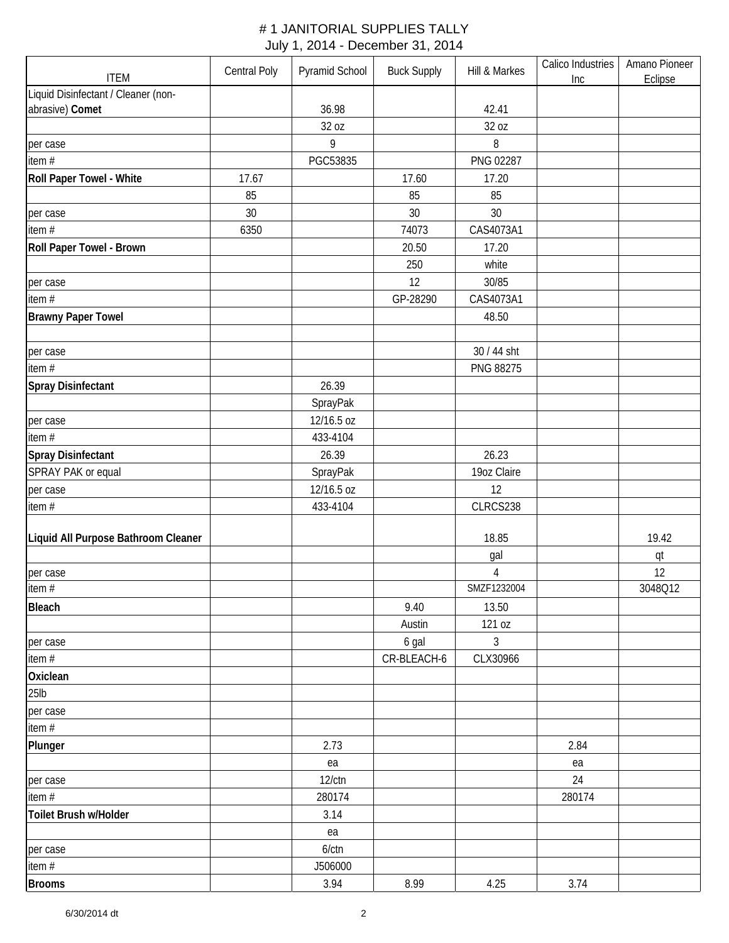| <b>ITEM</b>                         | Central Poly | Pyramid School | <b>Buck Supply</b> | Hill & Markes    | Calico Industries<br>Inc | Amano Pioneer<br>Eclipse |
|-------------------------------------|--------------|----------------|--------------------|------------------|--------------------------|--------------------------|
| Liquid Disinfectant / Cleaner (non- |              |                |                    |                  |                          |                          |
| abrasive) Comet                     |              | 36.98          |                    | 42.41            |                          |                          |
|                                     |              | 32 oz          |                    | 32 oz            |                          |                          |
| per case                            |              | 9              |                    | 8                |                          |                          |
| item $#$                            |              | PGC53835       |                    | PNG 02287        |                          |                          |
| Roll Paper Towel - White            | 17.67        |                | 17.60              | 17.20            |                          |                          |
|                                     | 85           |                | 85                 | 85               |                          |                          |
| per case                            | 30           |                | 30                 | 30               |                          |                          |
| item#                               | 6350         |                | 74073              | CAS4073A1        |                          |                          |
| Roll Paper Towel - Brown            |              |                | 20.50              | 17.20            |                          |                          |
|                                     |              |                | 250                | white            |                          |                          |
| per case                            |              |                | 12                 | 30/85            |                          |                          |
| item #                              |              |                | GP-28290           | CAS4073A1        |                          |                          |
| <b>Brawny Paper Towel</b>           |              |                |                    | 48.50            |                          |                          |
|                                     |              |                |                    |                  |                          |                          |
| per case                            |              |                |                    | 30 / 44 sht      |                          |                          |
| item #                              |              |                |                    | PNG 88275        |                          |                          |
| <b>Spray Disinfectant</b>           |              | 26.39          |                    |                  |                          |                          |
|                                     |              | SprayPak       |                    |                  |                          |                          |
| per case                            |              | 12/16.5 oz     |                    |                  |                          |                          |
| item #                              |              | 433-4104       |                    |                  |                          |                          |
| <b>Spray Disinfectant</b>           |              | 26.39          |                    | 26.23            |                          |                          |
| SPRAY PAK or equal                  |              | SprayPak       |                    | 19oz Claire      |                          |                          |
| per case                            |              | 12/16.5 oz     |                    | 12               |                          |                          |
| item#                               |              | 433-4104       |                    | CLRCS238         |                          |                          |
|                                     |              |                |                    |                  |                          |                          |
| Liquid All Purpose Bathroom Cleaner |              |                |                    | 18.85            |                          | 19.42                    |
|                                     |              |                |                    | gal              |                          | qt                       |
| per case<br>item #                  |              |                |                    | 4<br>SMZF1232004 |                          | 12<br>3048Q12            |
|                                     |              |                |                    |                  |                          |                          |
| Bleach                              |              |                | 9.40               | 13.50            |                          |                          |
|                                     |              |                | Austin             | 121 oz           |                          |                          |
| per case                            |              |                | 6 gal              | 3                |                          |                          |
| item #                              |              |                | CR-BLEACH-6        | CLX30966         |                          |                          |
| Oxiclean                            |              |                |                    |                  |                          |                          |
| $25$ lb                             |              |                |                    |                  |                          |                          |
| per case                            |              |                |                    |                  |                          |                          |
| item #                              |              |                |                    |                  |                          |                          |
| Plunger                             |              | 2.73           |                    |                  | 2.84                     |                          |
|                                     |              | ea             |                    |                  | ea                       |                          |
| per case                            |              | $12$ / $ctn$   |                    |                  | 24                       |                          |
| item #                              |              | 280174         |                    |                  | 280174                   |                          |
| Toilet Brush w/Holder               |              | 3.14           |                    |                  |                          |                          |
|                                     |              | ea             |                    |                  |                          |                          |
| per case                            |              | $6$ / $ctn$    |                    |                  |                          |                          |
| item #                              |              | J506000        |                    |                  |                          |                          |
| <b>Brooms</b>                       |              | 3.94           | 8.99               | 4.25             | 3.74                     |                          |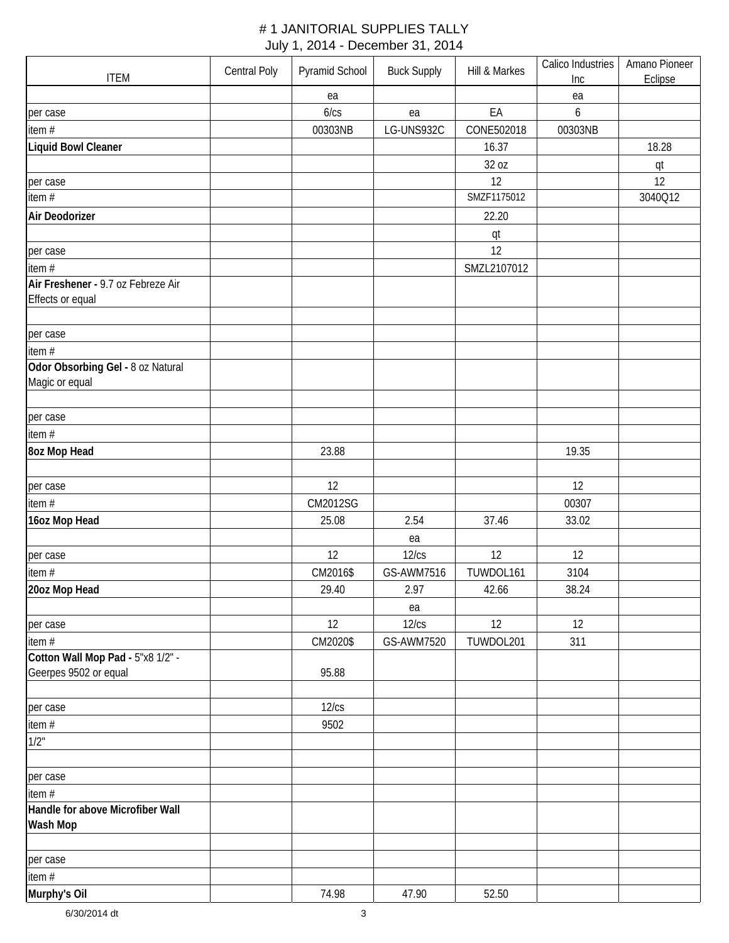| <b>ITEM</b>                                            | Central Poly | Pyramid School | <b>Buck Supply</b> | Hill & Markes | Calico Industries<br>Inc | Amano Pioneer<br>Eclipse |
|--------------------------------------------------------|--------------|----------------|--------------------|---------------|--------------------------|--------------------------|
|                                                        |              | ea             |                    |               | ea                       |                          |
| per case                                               |              | 6/cs           | ea                 | EA            | 6                        |                          |
| item #                                                 |              | 00303NB        | LG-UNS932C         | CONE502018    | 00303NB                  |                          |
| Liquid Bowl Cleaner                                    |              |                |                    | 16.37         |                          | 18.28                    |
|                                                        |              |                |                    |               |                          |                          |
|                                                        |              |                |                    | 32 oz<br>12   |                          | qt                       |
| per case<br>item #                                     |              |                |                    | SMZF1175012   |                          | 12<br>3040Q12            |
|                                                        |              |                |                    |               |                          |                          |
| Air Deodorizer                                         |              |                |                    | 22.20         |                          |                          |
|                                                        |              |                |                    | qt            |                          |                          |
| per case                                               |              |                |                    | 12            |                          |                          |
| item #                                                 |              |                |                    | SMZL2107012   |                          |                          |
| Air Freshener - 9.7 oz Febreze Air<br>Effects or equal |              |                |                    |               |                          |                          |
|                                                        |              |                |                    |               |                          |                          |
|                                                        |              |                |                    |               |                          |                          |
| per case<br>item $#$                                   |              |                |                    |               |                          |                          |
|                                                        |              |                |                    |               |                          |                          |
| Odor Obsorbing Gel - 8 oz Natural<br>Magic or equal    |              |                |                    |               |                          |                          |
|                                                        |              |                |                    |               |                          |                          |
| per case                                               |              |                |                    |               |                          |                          |
| item #                                                 |              |                |                    |               |                          |                          |
| <b>8oz Mop Head</b>                                    |              | 23.88          |                    |               | 19.35                    |                          |
|                                                        |              |                |                    |               |                          |                          |
| per case                                               |              | 12             |                    |               | 12                       |                          |
| item #                                                 |              | CM2012SG       |                    |               | 00307                    |                          |
| 16oz Mop Head                                          |              | 25.08          | 2.54               | 37.46         | 33.02                    |                          |
|                                                        |              |                | ea                 |               |                          |                          |
| per case                                               |              | 12             | 12/cs              | 12            | 12                       |                          |
| item#                                                  |              | CM2016\$       | GS-AWM7516         | TUWDOL161     | 3104                     |                          |
| 20oz Mop Head                                          |              | 29.40          | 2.97               | 42.66         | 38.24                    |                          |
|                                                        |              |                | ea                 |               |                          |                          |
| per case                                               |              | 12             | 12/cs              | 12            | 12                       |                          |
| item#                                                  |              | CM2020\$       | GS-AWM7520         | TUWDOL201     | 311                      |                          |
| Cotton Wall Mop Pad - 5"x8 1/2" -                      |              |                |                    |               |                          |                          |
| Geerpes 9502 or equal                                  |              | 95.88          |                    |               |                          |                          |
|                                                        |              |                |                    |               |                          |                          |
| per case                                               |              | 12/cs          |                    |               |                          |                          |
| item #                                                 |              | 9502           |                    |               |                          |                          |
| 1/2"                                                   |              |                |                    |               |                          |                          |
|                                                        |              |                |                    |               |                          |                          |
| per case                                               |              |                |                    |               |                          |                          |
| item #                                                 |              |                |                    |               |                          |                          |
| Handle for above Microfiber Wall                       |              |                |                    |               |                          |                          |
| Wash Mop                                               |              |                |                    |               |                          |                          |
|                                                        |              |                |                    |               |                          |                          |
| per case                                               |              |                |                    |               |                          |                          |
| item #                                                 |              |                |                    |               |                          |                          |
| Murphy's Oil                                           |              | 74.98          | 47.90              | 52.50         |                          |                          |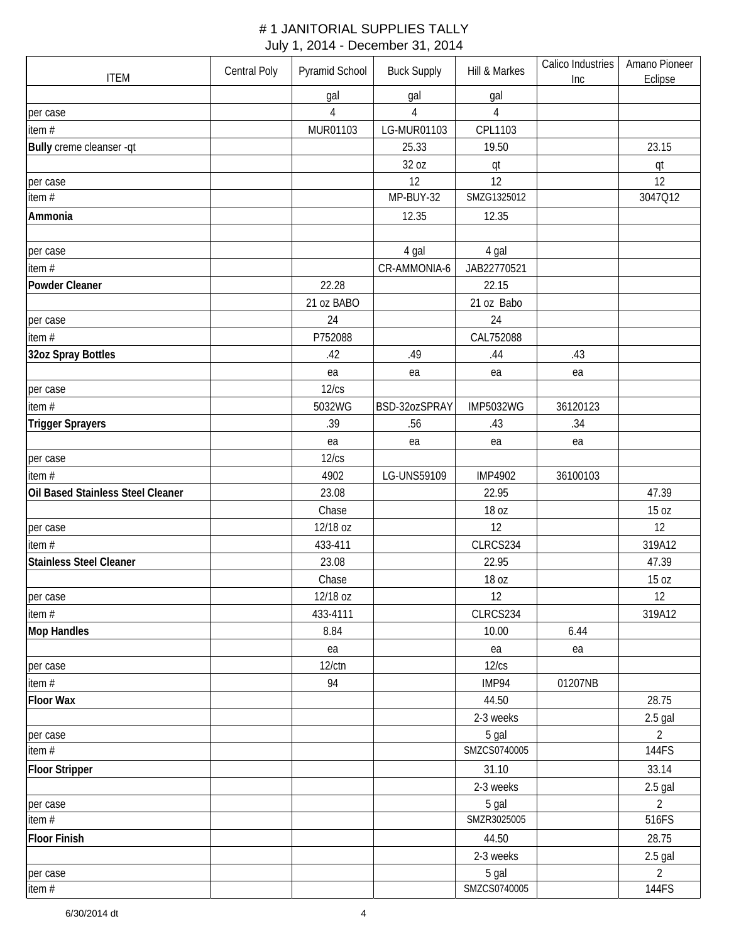| <b>ITEM</b>                       | Central Poly | Pyramid School | <b>Buck Supply</b> | Hill & Markes    | Calico Industries<br>Inc | Amano Pioneer<br>Eclipse |
|-----------------------------------|--------------|----------------|--------------------|------------------|--------------------------|--------------------------|
|                                   |              | gal            | gal                | gal              |                          |                          |
| per case                          |              | $\overline{4}$ | $\overline{4}$     | $\overline{4}$   |                          |                          |
| item#                             |              | MUR01103       | LG-MUR01103        | CPL1103          |                          |                          |
| Bully creme cleanser -qt          |              |                | 25.33              | 19.50            |                          | 23.15                    |
|                                   |              |                | 32 oz              | qt               |                          | qt                       |
| per case                          |              |                | 12                 | 12               |                          | 12                       |
| item #                            |              |                | MP-BUY-32          | SMZG1325012      |                          | 3047Q12                  |
| Ammonia                           |              |                | 12.35              | 12.35            |                          |                          |
|                                   |              |                |                    |                  |                          |                          |
| per case                          |              |                | 4 gal              | 4 gal            |                          |                          |
| item#                             |              |                | CR-AMMONIA-6       | JAB22770521      |                          |                          |
| Powder Cleaner                    |              | 22.28          |                    | 22.15            |                          |                          |
|                                   |              | 21 oz BABO     |                    | 21 oz Babo       |                          |                          |
| per case                          |              | 24             |                    | 24               |                          |                          |
| item#                             |              | P752088        |                    | CAL752088        |                          |                          |
| 32oz Spray Bottles                |              | .42            | .49                | .44              | .43                      |                          |
|                                   |              | ea             | ea                 | ea               | ea                       |                          |
| per case                          |              | 12/cs          |                    |                  |                          |                          |
| item#                             |              | 5032WG         | BSD-32ozSPRAY      | <b>IMP5032WG</b> | 36120123                 |                          |
| <b>Trigger Sprayers</b>           |              | .39            | .56                | .43              | .34                      |                          |
|                                   |              | ea             | ea                 | ea               | ea                       |                          |
| per case                          |              | 12/cs          |                    |                  |                          |                          |
| item #                            |              | 4902           | LG-UNS59109        | <b>IMP4902</b>   | 36100103                 |                          |
| Oil Based Stainless Steel Cleaner |              | 23.08          |                    | 22.95            |                          | 47.39                    |
|                                   |              | Chase          |                    | 18 oz            |                          | 15 oz                    |
| per case                          |              | 12/18 oz       |                    | 12               |                          | 12                       |
| item $#$                          |              | 433-411        |                    | CLRCS234         |                          | 319A12                   |
| Stainless Steel Cleaner           |              | 23.08          |                    | 22.95            |                          | 47.39                    |
|                                   |              | Chase          |                    | 18 oz            |                          | 15 oz                    |
| per case                          |              | 12/18 oz       |                    | 12               |                          | 12                       |
| item #                            |              | 433-4111       |                    | CLRCS234         |                          | 319A12                   |
| <b>Mop Handles</b>                |              | 8.84           |                    | 10.00            | 6.44                     |                          |
|                                   |              | ea             |                    | ea               | ea                       |                          |
| per case                          |              | $12$ / $ctn$   |                    | 12/cs            |                          |                          |
| item #                            |              | 94             |                    | IMP94            | 01207NB                  |                          |
| <b>Floor Wax</b>                  |              |                |                    | 44.50            |                          | 28.75                    |
|                                   |              |                |                    | 2-3 weeks        |                          | $2.5$ gal                |
| per case                          |              |                |                    | 5 gal            |                          | $\overline{2}$           |
| item #                            |              |                |                    | SMZCS0740005     |                          | 144FS                    |
| <b>Floor Stripper</b>             |              |                |                    | 31.10            |                          | 33.14                    |
|                                   |              |                |                    | 2-3 weeks        |                          | $2.5$ gal                |
| per case                          |              |                |                    | 5 gal            |                          | $\overline{2}$           |
| item #                            |              |                |                    | SMZR3025005      |                          | 516FS                    |
| <b>Floor Finish</b>               |              |                |                    | 44.50            |                          | 28.75                    |
|                                   |              |                |                    | 2-3 weeks        |                          | $2.5$ gal                |
| per case                          |              |                |                    | 5 gal            |                          | $\overline{2}$           |
| item $#$                          |              |                |                    | SMZCS0740005     |                          | 144FS                    |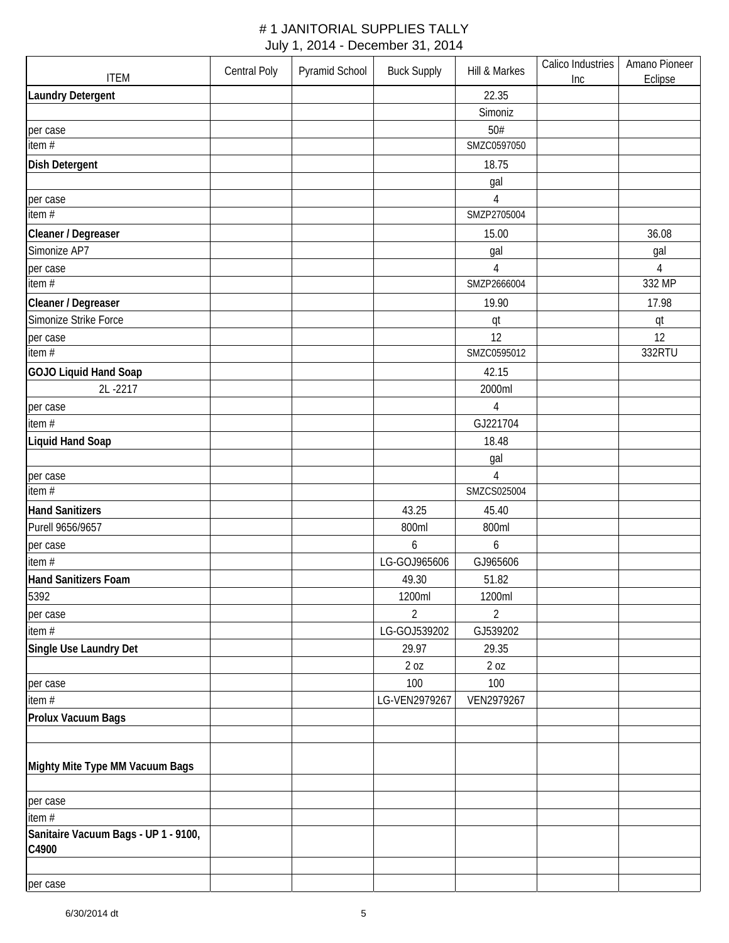| <b>ITEM</b>                          | <b>Central Poly</b> | Pyramid School | <b>Buck Supply</b> | Hill & Markes  | Calico Industries<br>Inc | Amano Pioneer<br>Eclipse |
|--------------------------------------|---------------------|----------------|--------------------|----------------|--------------------------|--------------------------|
| <b>Laundry Detergent</b>             |                     |                |                    | 22.35          |                          |                          |
|                                      |                     |                |                    | Simoniz        |                          |                          |
| per case                             |                     |                |                    | 50#            |                          |                          |
| item #                               |                     |                |                    | SMZC0597050    |                          |                          |
| <b>Dish Detergent</b>                |                     |                |                    | 18.75          |                          |                          |
|                                      |                     |                |                    | gal            |                          |                          |
| per case                             |                     |                |                    | $\overline{4}$ |                          |                          |
| item #                               |                     |                |                    | SMZP2705004    |                          |                          |
| Cleaner / Degreaser                  |                     |                |                    | 15.00          |                          | 36.08                    |
| Simonize AP7                         |                     |                |                    | gal            |                          | gal                      |
| per case                             |                     |                |                    | 4              |                          | $\overline{4}$           |
| item #                               |                     |                |                    | SMZP2666004    |                          | 332 MP                   |
| Cleaner / Degreaser                  |                     |                |                    | 19.90          |                          | 17.98                    |
| Simonize Strike Force                |                     |                |                    | qt             |                          | qt                       |
| per case                             |                     |                |                    | 12             |                          | 12                       |
| item #                               |                     |                |                    | SMZC0595012    |                          | 332RTU                   |
| <b>GOJO Liquid Hand Soap</b>         |                     |                |                    | 42.15          |                          |                          |
| 2L-2217                              |                     |                |                    | 2000ml         |                          |                          |
| per case                             |                     |                |                    | $\overline{4}$ |                          |                          |
| item#                                |                     |                |                    | GJ221704       |                          |                          |
| <b>Liquid Hand Soap</b>              |                     |                |                    | 18.48          |                          |                          |
|                                      |                     |                |                    | gal            |                          |                          |
| per case                             |                     |                |                    | 4              |                          |                          |
| item #                               |                     |                |                    | SMZCS025004    |                          |                          |
| <b>Hand Sanitizers</b>               |                     |                | 43.25              | 45.40          |                          |                          |
| Purell 9656/9657                     |                     |                | 800ml              | 800ml          |                          |                          |
| per case                             |                     |                | 6                  | 6              |                          |                          |
| item#                                |                     |                | LG-GOJ965606       | GJ965606       |                          |                          |
| Hand Sanitizers Foam                 |                     |                | 49.30              | 51.82          |                          |                          |
| 5392                                 |                     |                | 1200ml             | 1200ml         |                          |                          |
| per case                             |                     |                | $\overline{2}$     | $\overline{2}$ |                          |                          |
| item #                               |                     |                | LG-GOJ539202       | GJ539202       |                          |                          |
| Single Use Laundry Det               |                     |                | 29.97              | 29.35          |                          |                          |
|                                      |                     |                | 20Z                | 2 oz           |                          |                          |
| per case                             |                     |                | 100                | 100            |                          |                          |
| item#                                |                     |                | LG-VEN2979267      | VEN2979267     |                          |                          |
| Prolux Vacuum Bags                   |                     |                |                    |                |                          |                          |
|                                      |                     |                |                    |                |                          |                          |
|                                      |                     |                |                    |                |                          |                          |
| Mighty Mite Type MM Vacuum Bags      |                     |                |                    |                |                          |                          |
| per case                             |                     |                |                    |                |                          |                          |
| item $#$                             |                     |                |                    |                |                          |                          |
| Sanitaire Vacuum Bags - UP 1 - 9100, |                     |                |                    |                |                          |                          |
| C4900                                |                     |                |                    |                |                          |                          |
|                                      |                     |                |                    |                |                          |                          |
| per case                             |                     |                |                    |                |                          |                          |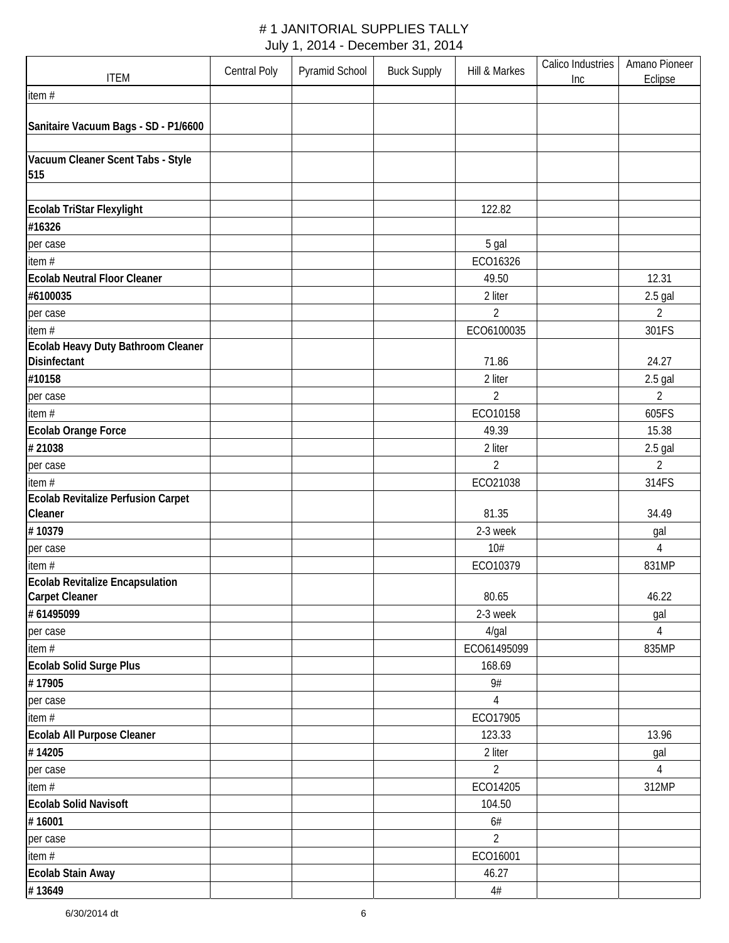| <b>ITEM</b>                                   | <b>Central Poly</b> | Pyramid School | <b>Buck Supply</b> | Hill & Markes  | Calico Industries<br>Inc | Amano Pioneer<br>Eclipse |
|-----------------------------------------------|---------------------|----------------|--------------------|----------------|--------------------------|--------------------------|
| item#                                         |                     |                |                    |                |                          |                          |
|                                               |                     |                |                    |                |                          |                          |
| Sanitaire Vacuum Bags - SD - P1/6600          |                     |                |                    |                |                          |                          |
|                                               |                     |                |                    |                |                          |                          |
| Vacuum Cleaner Scent Tabs - Style<br>515      |                     |                |                    |                |                          |                          |
|                                               |                     |                |                    |                |                          |                          |
| Ecolab TriStar Flexylight                     |                     |                |                    | 122.82         |                          |                          |
| #16326                                        |                     |                |                    |                |                          |                          |
| per case                                      |                     |                |                    | 5 gal          |                          |                          |
| item #                                        |                     |                |                    | ECO16326       |                          |                          |
| <b>Ecolab Neutral Floor Cleaner</b>           |                     |                |                    | 49.50          |                          | 12.31                    |
| #6100035                                      |                     |                |                    | 2 liter        |                          | $2.5$ gal                |
| per case                                      |                     |                |                    | $\overline{2}$ |                          | $\overline{2}$           |
| item#                                         |                     |                |                    | ECO6100035     |                          | 301FS                    |
| Ecolab Heavy Duty Bathroom Cleaner            |                     |                |                    |                |                          |                          |
| Disinfectant                                  |                     |                |                    | 71.86          |                          | 24.27                    |
| #10158                                        |                     |                |                    | 2 liter        |                          | $2.5$ gal                |
| per case                                      |                     |                |                    | $\overline{2}$ |                          | $\overline{2}$           |
| item#                                         |                     |                |                    | ECO10158       |                          | 605FS                    |
| Ecolab Orange Force                           |                     |                |                    | 49.39          |                          | 15.38                    |
| #21038                                        |                     |                |                    | 2 liter        |                          | $2.5$ gal                |
| per case                                      |                     |                |                    | 2              |                          | 2                        |
| item #                                        |                     |                |                    | ECO21038       |                          | 314FS                    |
| Ecolab Revitalize Perfusion Carpet<br>Cleaner |                     |                |                    | 81.35          |                          | 34.49                    |
| #10379                                        |                     |                |                    | 2-3 week       |                          | gal                      |
| per case                                      |                     |                |                    | 10#            |                          | 4                        |
| item $#$                                      |                     |                |                    | ECO10379       |                          | 831MP                    |
| <b>Ecolab Revitalize Encapsulation</b>        |                     |                |                    |                |                          |                          |
| <b>Carpet Cleaner</b>                         |                     |                |                    | 80.65          |                          | 46.22                    |
| #61495099                                     |                     |                |                    | 2-3 week       |                          | gal                      |
| per case                                      |                     |                |                    | $4$ /gal       |                          | 4                        |
| item#                                         |                     |                |                    | ECO61495099    |                          | 835MP                    |
| Ecolab Solid Surge Plus                       |                     |                |                    | 168.69         |                          |                          |
| #17905                                        |                     |                |                    | 9#             |                          |                          |
| per case                                      |                     |                |                    | 4              |                          |                          |
| item#                                         |                     |                |                    | ECO17905       |                          |                          |
| Ecolab All Purpose Cleaner                    |                     |                |                    | 123.33         |                          | 13.96                    |
| #14205                                        |                     |                |                    | 2 liter        |                          | gal                      |
| per case                                      |                     |                |                    | $\overline{2}$ |                          | 4                        |
| item#                                         |                     |                |                    | ECO14205       |                          | 312MP                    |
| <b>Ecolab Solid Navisoft</b>                  |                     |                |                    | 104.50         |                          |                          |
| #16001                                        |                     |                |                    | $6#$           |                          |                          |
| per case                                      |                     |                |                    | $\overline{2}$ |                          |                          |
| item #                                        |                     |                |                    | ECO16001       |                          |                          |
| <b>Ecolab Stain Away</b>                      |                     |                |                    | 46.27          |                          |                          |
| #13649                                        |                     |                |                    | $4\#$          |                          |                          |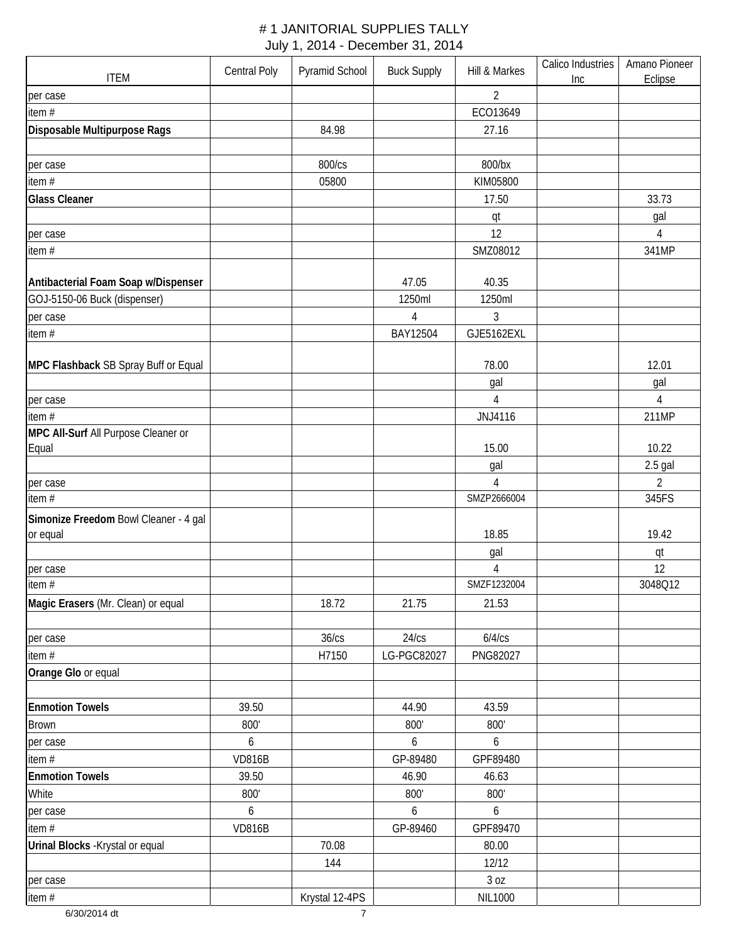| <b>ITEM</b>                           | Central Poly  | Pyramid School                   | <b>Buck Supply</b> | Hill & Markes                 | Calico Industries<br>Inc | Amano Pioneer<br>Eclipse |
|---------------------------------------|---------------|----------------------------------|--------------------|-------------------------------|--------------------------|--------------------------|
| per case                              |               |                                  |                    | $\overline{2}$                |                          |                          |
| item #                                |               |                                  |                    | ECO13649                      |                          |                          |
| Disposable Multipurpose Rags          |               | 84.98                            |                    | 27.16                         |                          |                          |
|                                       |               |                                  |                    |                               |                          |                          |
| per case                              |               | 800/cs                           |                    | 800/bx                        |                          |                          |
| item #                                |               | 05800                            |                    | KIM05800                      |                          |                          |
| <b>Glass Cleaner</b>                  |               |                                  |                    | 17.50                         |                          | 33.73                    |
|                                       |               |                                  |                    | qt                            |                          | gal                      |
| per case                              |               |                                  |                    | 12                            |                          | $\overline{4}$           |
| item #                                |               |                                  |                    | SMZ08012                      |                          | 341MP                    |
|                                       |               |                                  |                    |                               |                          |                          |
| Antibacterial Foam Soap w/Dispenser   |               |                                  | 47.05              | 40.35                         |                          |                          |
| GOJ-5150-06 Buck (dispenser)          |               |                                  | 1250ml             | 1250ml                        |                          |                          |
| per case                              |               |                                  | $\overline{4}$     | 3                             |                          |                          |
| item#                                 |               |                                  | BAY12504           | GJE5162EXL                    |                          |                          |
|                                       |               |                                  |                    |                               |                          |                          |
| MPC Flashback SB Spray Buff or Equal  |               |                                  |                    | 78.00                         |                          | 12.01                    |
|                                       |               |                                  |                    | gal                           |                          | gal                      |
| per case                              |               |                                  |                    | $\overline{4}$                |                          | $\overline{4}$           |
| item#                                 |               |                                  |                    | JNJ4116                       |                          | 211MP                    |
| MPC All-Surf All Purpose Cleaner or   |               |                                  |                    |                               |                          |                          |
| Equal                                 |               |                                  |                    | 15.00                         |                          | 10.22                    |
|                                       |               |                                  |                    | gal                           |                          | $2.5$ gal                |
| per case                              |               |                                  |                    | $\overline{4}$                |                          | $\overline{2}$           |
| item#                                 |               |                                  |                    | SMZP2666004                   |                          | 345FS                    |
| Simonize Freedom Bowl Cleaner - 4 gal |               |                                  |                    |                               |                          |                          |
| or equal                              |               |                                  |                    | 18.85                         |                          | 19.42                    |
|                                       |               |                                  |                    | gal                           |                          | qt                       |
| per case                              |               |                                  |                    | $\overline{4}$<br>SMZF1232004 |                          | 12                       |
| item#                                 |               |                                  |                    |                               |                          | 3048Q12                  |
| Magic Erasers (Mr. Clean) or equal    |               | 18.72                            | 21.75              | 21.53                         |                          |                          |
|                                       |               |                                  |                    |                               |                          |                          |
| per case                              |               | 36/cs                            | 24/cs              | 6/4/cs                        |                          |                          |
| item $#$                              |               | H7150                            | LG-PGC82027        | PNG82027                      |                          |                          |
| Orange Glo or equal                   |               |                                  |                    |                               |                          |                          |
|                                       |               |                                  |                    |                               |                          |                          |
| <b>Enmotion Towels</b>                | 39.50         |                                  | 44.90              | 43.59<br>800'                 |                          |                          |
| <b>Brown</b>                          | 800'          |                                  | 800'               |                               |                          |                          |
| per case                              | 6             |                                  | 6                  | $\boldsymbol{6}$              |                          |                          |
| item #                                | <b>VD816B</b> |                                  | GP-89480           | GPF89480                      |                          |                          |
| <b>Enmotion Towels</b>                | 39.50         |                                  | 46.90              | 46.63                         |                          |                          |
| White                                 | 800'          |                                  | 800'               | 800'                          |                          |                          |
| per case                              | 6             |                                  | 6                  | 6                             |                          |                          |
| item #                                | <b>VD816B</b> |                                  | GP-89460           | GPF89470                      |                          |                          |
| Urinal Blocks - Krystal or equal      |               | 70.08                            |                    | 80.00                         |                          |                          |
|                                       |               | 144                              |                    | 12/12                         |                          |                          |
| per case                              |               |                                  |                    | 30Z                           |                          |                          |
| item#<br>6/30/2014 dt                 |               | Krystal 12-4PS<br>$\overline{7}$ |                    | <b>NIL1000</b>                |                          |                          |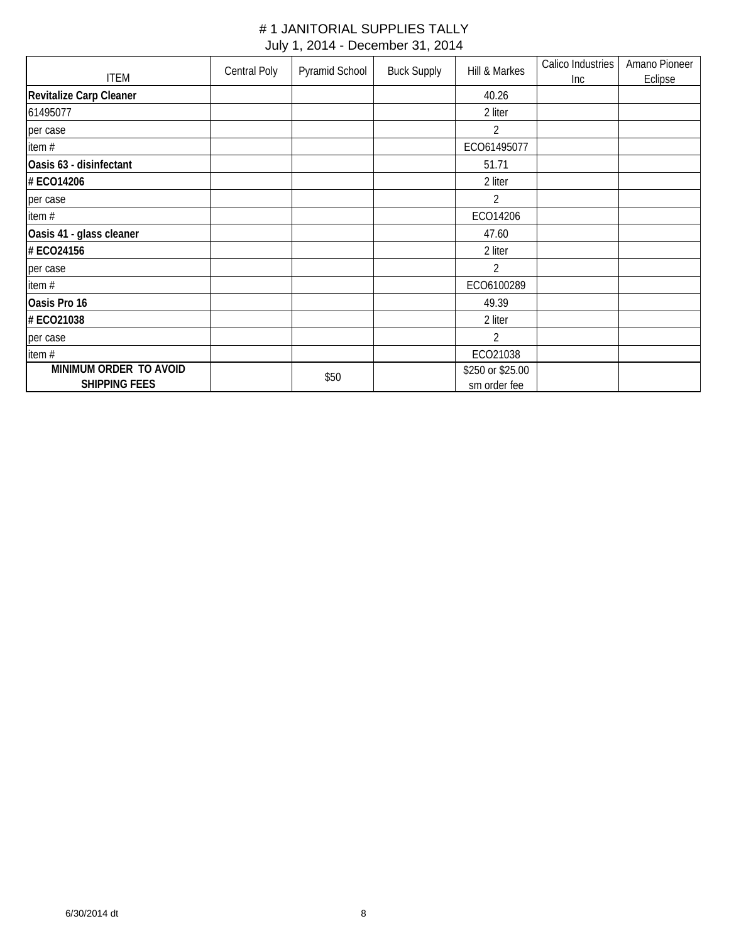|                                                | Central Poly | Pyramid School | <b>Buck Supply</b> | Hill & Markes                    | Calico Industries | Amano Pioneer |
|------------------------------------------------|--------------|----------------|--------------------|----------------------------------|-------------------|---------------|
| <b>ITEM</b>                                    |              |                |                    |                                  | Inc               | Eclipse       |
| <b>Revitalize Carp Cleaner</b>                 |              |                |                    | 40.26                            |                   |               |
| 61495077                                       |              |                |                    | 2 liter                          |                   |               |
| per case                                       |              |                |                    | 2                                |                   |               |
| item#                                          |              |                |                    | ECO61495077                      |                   |               |
| Oasis 63 - disinfectant                        |              |                |                    | 51.71                            |                   |               |
| # ECO14206                                     |              |                |                    | 2 liter                          |                   |               |
| per case                                       |              |                |                    | $\overline{2}$                   |                   |               |
| item #                                         |              |                |                    | ECO14206                         |                   |               |
| Oasis 41 - glass cleaner                       |              |                |                    | 47.60                            |                   |               |
| # ECO24156                                     |              |                |                    | 2 liter                          |                   |               |
| per case                                       |              |                |                    | 2                                |                   |               |
| item#                                          |              |                |                    | ECO6100289                       |                   |               |
| Oasis Pro 16                                   |              |                |                    | 49.39                            |                   |               |
| # ECO21038                                     |              |                |                    | 2 liter                          |                   |               |
| per case                                       |              |                |                    | 2                                |                   |               |
| item#                                          |              |                |                    | ECO21038                         |                   |               |
| MINIMUM ORDER TO AVOID<br><b>SHIPPING FEES</b> |              | \$50           |                    | \$250 or \$25.00<br>sm order fee |                   |               |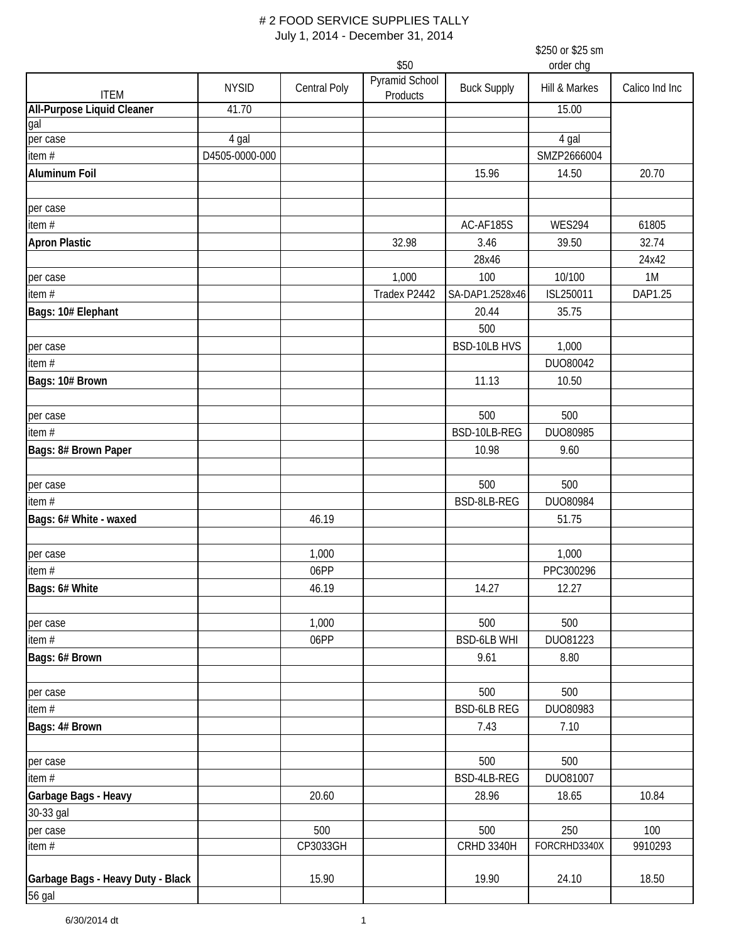\$250 or \$25 sm

|                                   |                |                     | \$50                       |                    | order chg     |                |
|-----------------------------------|----------------|---------------------|----------------------------|--------------------|---------------|----------------|
| <b>ITEM</b>                       | <b>NYSID</b>   | <b>Central Poly</b> | Pyramid School<br>Products | <b>Buck Supply</b> | Hill & Markes | Calico Ind Inc |
| <b>All-Purpose Liquid Cleaner</b> | 41.70          |                     |                            |                    | 15.00         |                |
| gal                               |                |                     |                            |                    |               |                |
| per case                          | 4 gal          |                     |                            |                    | 4 gal         |                |
| item#                             | D4505-0000-000 |                     |                            |                    | SMZP2666004   |                |
| <b>Aluminum Foil</b>              |                |                     |                            | 15.96              | 14.50         | 20.70          |
| per case                          |                |                     |                            |                    |               |                |
| item#                             |                |                     |                            | AC-AF185S          | <b>WES294</b> | 61805          |
| <b>Apron Plastic</b>              |                |                     | 32.98                      | 3.46               | 39.50         | 32.74          |
|                                   |                |                     |                            | 28x46              |               | 24x42          |
| per case                          |                |                     | 1,000                      | 100                | 10/100        | 1M             |
| item#                             |                |                     | Tradex P2442               | SA-DAP1.2528x46    | ISL250011     | DAP1.25        |
| Bags: 10# Elephant                |                |                     |                            | 20.44              | 35.75         |                |
|                                   |                |                     |                            | 500                |               |                |
|                                   |                |                     |                            |                    |               |                |
| per case                          |                |                     |                            | BSD-10LB HVS       | 1,000         |                |
| item#                             |                |                     |                            |                    | DUO80042      |                |
| Bags: 10# Brown                   |                |                     |                            | 11.13              | 10.50         |                |
| per case                          |                |                     |                            | 500                | 500           |                |
| item#                             |                |                     |                            | BSD-10LB-REG       | DUO80985      |                |
| Bags: 8# Brown Paper              |                |                     |                            | 10.98              | 9.60          |                |
| per case                          |                |                     |                            | 500                | 500           |                |
| item#                             |                |                     |                            | BSD-8LB-REG        | DUO80984      |                |
| Bags: 6# White - waxed            |                | 46.19               |                            |                    | 51.75         |                |
|                                   |                |                     |                            |                    |               |                |
| per case                          |                | 1,000               |                            |                    | 1,000         |                |
| item#                             |                | 06PP                |                            |                    | PPC300296     |                |
| Bags: 6# White                    |                | 46.19               |                            | 14.27              | 12.27         |                |
| per case                          |                | 1,000               |                            | 500                | 500           |                |
| item #                            |                | 06PP                |                            | <b>BSD-6LB WHI</b> | DU081223      |                |
| Bags: 6# Brown                    |                |                     |                            | 9.61               | 8.80          |                |
|                                   |                |                     |                            | 500                | 500           |                |
| per case                          |                |                     |                            | <b>BSD-6LB REG</b> |               |                |
| item#                             |                |                     |                            |                    | DUO80983      |                |
| Bags: 4# Brown                    |                |                     |                            | 7.43               | 7.10          |                |
| per case                          |                |                     |                            | 500                | 500           |                |
| item #                            |                |                     |                            | BSD-4LB-REG        | DU081007      |                |
| Garbage Bags - Heavy              |                | 20.60               |                            | 28.96              | 18.65         | 10.84          |
| 30-33 gal                         |                |                     |                            |                    |               |                |
| per case                          |                | 500                 |                            | 500                | 250           | 100            |
| item #                            |                | CP3033GH            |                            | <b>CRHD 3340H</b>  | FORCRHD3340X  | 9910293        |
| Garbage Bags - Heavy Duty - Black |                | 15.90               |                            | 19.90              | 24.10         | 18.50          |
| 56 gal                            |                |                     |                            |                    |               |                |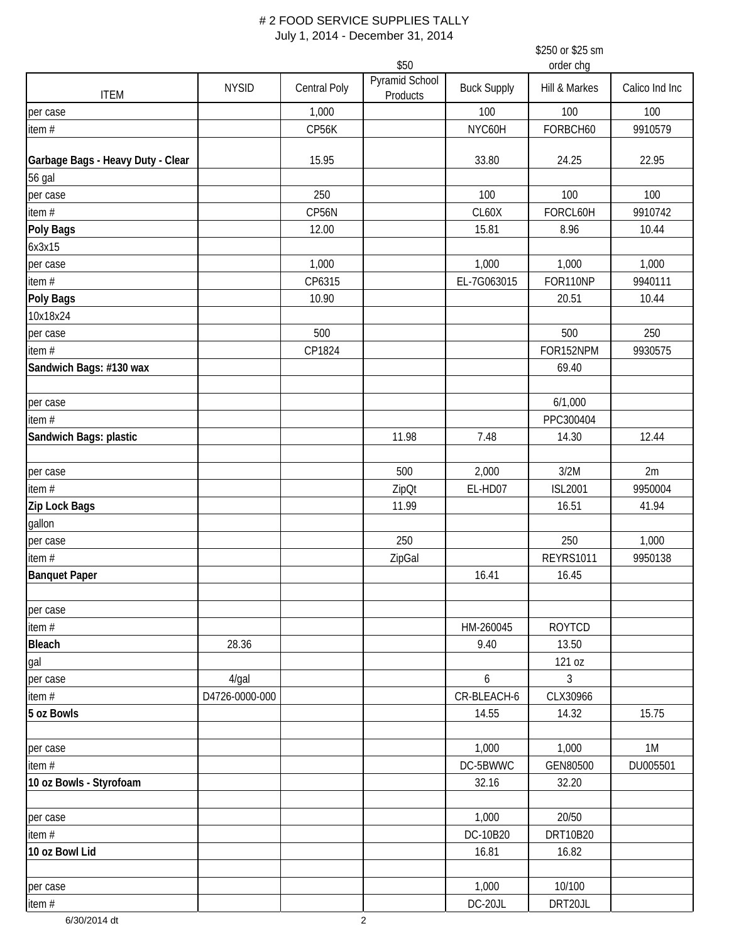|                                   |                |                     |                            |                    | \$250 or \$25 sm |                |
|-----------------------------------|----------------|---------------------|----------------------------|--------------------|------------------|----------------|
|                                   |                |                     | \$50                       |                    | order chg        |                |
| <b>ITEM</b>                       | <b>NYSID</b>   | <b>Central Poly</b> | Pyramid School<br>Products | <b>Buck Supply</b> | Hill & Markes    | Calico Ind Inc |
| per case                          |                | 1,000               |                            | 100                | 100              | 100            |
| item#                             |                | CP56K               |                            | NYC60H             | FORBCH60         | 9910579        |
| Garbage Bags - Heavy Duty - Clear |                | 15.95               |                            | 33.80              | 24.25            | 22.95          |
| 56 gal                            |                |                     |                            |                    |                  |                |
| per case                          |                | 250                 |                            | 100                | 100              | 100            |
| item#                             |                | CP56N               |                            | CL60X              | FORCL60H         | 9910742        |
| Poly Bags                         |                | 12.00               |                            | 15.81              | 8.96             | 10.44          |
| 6x3x15                            |                |                     |                            |                    |                  |                |
| per case                          |                | 1,000               |                            | 1,000              | 1,000            | 1,000          |
| item#                             |                | CP6315              |                            | EL-7G063015        | FOR110NP         | 9940111        |
| Poly Bags                         |                | 10.90               |                            |                    | 20.51            | 10.44          |
| 10x18x24                          |                |                     |                            |                    |                  |                |
| per case                          |                | 500                 |                            |                    | 500              | 250            |
| item $#$                          |                | CP1824              |                            |                    | FOR152NPM        | 9930575        |
| Sandwich Bags: #130 wax           |                |                     |                            |                    | 69.40            |                |
|                                   |                |                     |                            |                    |                  |                |
| per case                          |                |                     |                            |                    | 6/1,000          |                |
| item $#$                          |                |                     |                            |                    | PPC300404        |                |
| Sandwich Bags: plastic            |                |                     | 11.98                      | 7.48               | 14.30            | 12.44          |
|                                   |                |                     |                            |                    |                  |                |
| per case                          |                |                     | 500                        | 2,000              | 3/2M             | 2m             |
| item $#$                          |                |                     | ZipOt                      | EL-HD07            | <b>ISL2001</b>   | 9950004        |
| Zip Lock Bags                     |                |                     | 11.99                      |                    | 16.51            | 41.94          |
| gallon                            |                |                     |                            |                    |                  |                |
| per case                          |                |                     | 250                        |                    | 250              | 1,000          |
| item#                             |                |                     | ZipGal                     |                    | <b>REYRS1011</b> | 9950138        |
| <b>Banquet Paper</b>              |                |                     |                            | 16.41              | 16.45            |                |
| per case                          |                |                     |                            |                    |                  |                |
| item#                             |                |                     |                            | HM-260045          | <b>ROYTCD</b>    |                |
| <b>Bleach</b>                     | 28.36          |                     |                            | 9.40               | 13.50            |                |
| gal                               |                |                     |                            |                    | 121 oz           |                |
| per case                          | $4$ /gal       |                     |                            | 6                  | 3                |                |
| item#                             | D4726-0000-000 |                     |                            | CR-BLEACH-6        | CLX30966         |                |
| 5 oz Bowls                        |                |                     |                            | 14.55              | 14.32            | 15.75          |
|                                   |                |                     |                            |                    |                  |                |
| per case                          |                |                     |                            | 1,000              | 1,000            | 1M             |
| item#                             |                |                     |                            | DC-5BWWC           | GEN80500         | DU005501       |
| 10 oz Bowls - Styrofoam           |                |                     |                            | 32.16              | 32.20            |                |
|                                   |                |                     |                            |                    |                  |                |
| per case                          |                |                     |                            | 1,000              | 20/50            |                |
| item #                            |                |                     |                            | DC-10B20           | DRT10B20         |                |
| 10 oz Bowl Lid                    |                |                     |                            | 16.81              | 16.82            |                |
| per case                          |                |                     |                            | 1,000              | 10/100           |                |
| item#                             |                |                     |                            | DC-20JL            | DRT20JL          |                |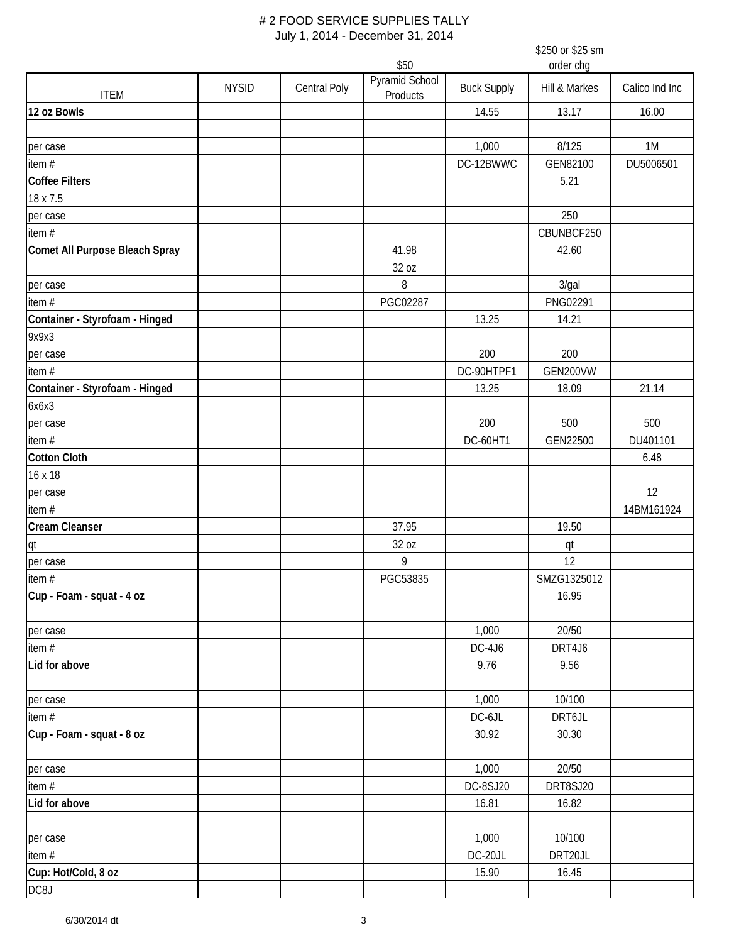|                                |              |                     |                            |                    | \$250 or \$25 sm |                |
|--------------------------------|--------------|---------------------|----------------------------|--------------------|------------------|----------------|
|                                |              |                     | \$50                       |                    | order chg        |                |
| <b>ITEM</b>                    | <b>NYSID</b> | <b>Central Poly</b> | Pyramid School<br>Products | <b>Buck Supply</b> | Hill & Markes    | Calico Ind Inc |
| 12 oz Bowls                    |              |                     |                            | 14.55              | 13.17            | 16.00          |
| per case                       |              |                     |                            | 1,000              | 8/125            | 1M             |
| item #                         |              |                     |                            | DC-12BWWC          | GEN82100         | DU5006501      |
| Coffee Filters                 |              |                     |                            |                    | 5.21             |                |
| 18 x 7.5                       |              |                     |                            |                    |                  |                |
| per case                       |              |                     |                            |                    | 250              |                |
| item #                         |              |                     |                            |                    | CBUNBCF250       |                |
| Comet All Purpose Bleach Spray |              |                     | 41.98                      |                    | 42.60            |                |
|                                |              |                     | 32 oz                      |                    |                  |                |
| per case                       |              |                     | 8                          |                    | 3/gal            |                |
| item#                          |              |                     | PGC02287                   |                    | PNG02291         |                |
| Container - Styrofoam - Hinged |              |                     |                            | 13.25              | 14.21            |                |
| 9x9x3                          |              |                     |                            |                    |                  |                |
| per case                       |              |                     |                            | 200                | 200              |                |
| item#                          |              |                     |                            | DC-90HTPF1         | GEN200VW         |                |
| Container - Styrofoam - Hinged |              |                     |                            | 13.25              | 18.09            | 21.14          |
| 6x6x3                          |              |                     |                            |                    |                  |                |
| per case                       |              |                     |                            | 200                | 500              | 500            |
| item#                          |              |                     |                            | DC-60HT1           | GEN22500         | DU401101       |
| <b>Cotton Cloth</b>            |              |                     |                            |                    |                  | 6.48           |
| 16 x 18                        |              |                     |                            |                    |                  |                |
| per case                       |              |                     |                            |                    |                  | 12             |
| item #                         |              |                     |                            |                    |                  | 14BM161924     |
| <b>Cream Cleanser</b>          |              |                     | 37.95                      |                    | 19.50            |                |
| qt                             |              |                     | 32 oz                      |                    | qt               |                |
| per case                       |              |                     | 9                          |                    | 12               |                |
| item $#$                       |              |                     | PGC53835                   |                    | SMZG1325012      |                |
| Cup - Foam - squat - 4 oz      |              |                     |                            |                    | 16.95            |                |
|                                |              |                     |                            |                    |                  |                |
| per case                       |              |                     |                            | 1,000              | 20/50            |                |
| item#                          |              |                     |                            | $DC-4J6$           | DRT4J6           |                |
| Lid for above                  |              |                     |                            | 9.76               | 9.56             |                |
| per case                       |              |                     |                            | 1,000              | 10/100           |                |
| item $#$                       |              |                     |                            | DC-6JL             | DRT6JL           |                |
| Cup - Foam - squat - 8 oz      |              |                     |                            | 30.92              | 30.30            |                |
| per case                       |              |                     |                            | 1,000              | 20/50            |                |
| item#                          |              |                     |                            | DC-8SJ20           | DRT8SJ20         |                |
| Lid for above                  |              |                     |                            | 16.81              | 16.82            |                |
| per case                       |              |                     |                            | 1,000              | 10/100           |                |
| item#                          |              |                     |                            | DC-20JL            | DRT20JL          |                |
| Cup: Hot/Cold, 8 oz            |              |                     |                            | 15.90              | 16.45            |                |
| DC8J                           |              |                     |                            |                    |                  |                |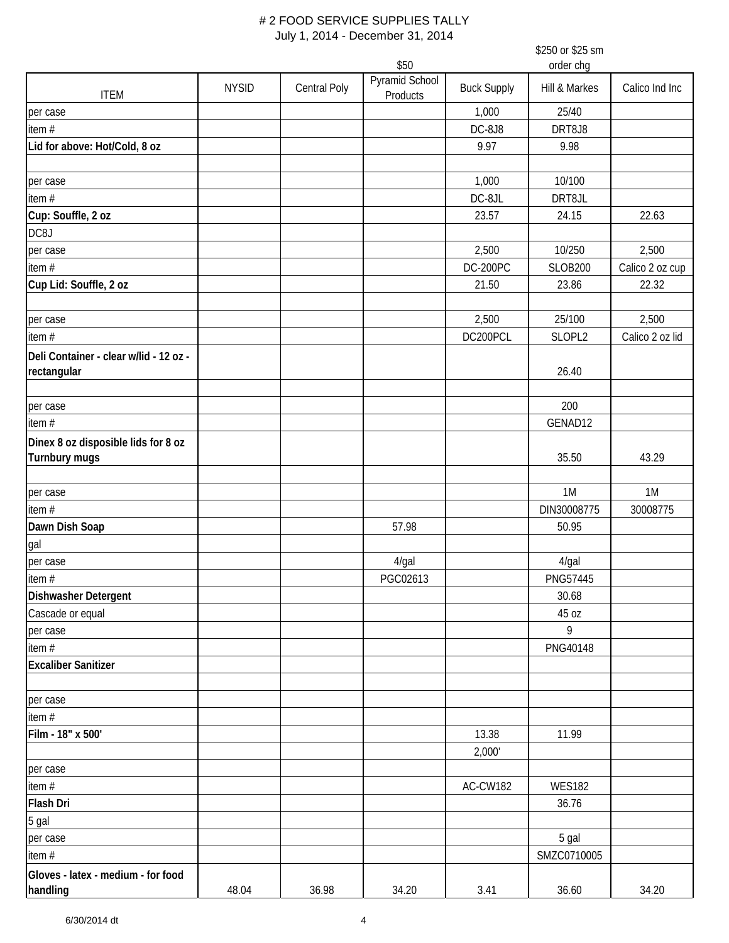|                                                       |              |                     |                            |                    | \$250 or \$25 sm |                 |
|-------------------------------------------------------|--------------|---------------------|----------------------------|--------------------|------------------|-----------------|
|                                                       |              |                     | \$50                       |                    | order chg        |                 |
| <b>ITEM</b>                                           | <b>NYSID</b> | <b>Central Poly</b> | Pyramid School<br>Products | <b>Buck Supply</b> | Hill & Markes    | Calico Ind Inc  |
| per case                                              |              |                     |                            | 1,000              | 25/40            |                 |
| item #                                                |              |                     |                            | DC-8J8             | DRT8J8           |                 |
| Lid for above: Hot/Cold, 8 oz                         |              |                     |                            | 9.97               | 9.98             |                 |
| per case                                              |              |                     |                            | 1,000              | 10/100           |                 |
| item $#$                                              |              |                     |                            | DC-8JL             | DRT8JL           |                 |
| Cup: Souffle, 2 oz                                    |              |                     |                            | 23.57              | 24.15            | 22.63           |
| DC8J                                                  |              |                     |                            |                    |                  |                 |
| per case                                              |              |                     |                            | 2,500              | 10/250           | 2,500           |
| item $#$                                              |              |                     |                            | <b>DC-200PC</b>    | <b>SLOB200</b>   | Calico 2 oz cup |
| Cup Lid: Souffle, 2 oz                                |              |                     |                            | 21.50              | 23.86            | 22.32           |
| per case                                              |              |                     |                            | 2,500              | 25/100           | 2,500           |
| item $#$                                              |              |                     |                            | DC200PCL           | SLOPL2           | Calico 2 oz lid |
|                                                       |              |                     |                            |                    |                  |                 |
| Deli Container - clear w/lid - 12 oz -<br>rectangular |              |                     |                            |                    | 26.40            |                 |
| per case                                              |              |                     |                            |                    | 200              |                 |
| item#                                                 |              |                     |                            |                    | GENAD12          |                 |
| Dinex 8 oz disposible lids for 8 oz<br>Turnbury mugs  |              |                     |                            |                    | 35.50            | 43.29           |
|                                                       |              |                     |                            |                    |                  |                 |
| per case                                              |              |                     |                            |                    | 1M               | 1M              |
| item $#$                                              |              |                     |                            |                    | DIN30008775      | 30008775        |
| Dawn Dish Soap                                        |              |                     | 57.98                      |                    | 50.95            |                 |
| gal                                                   |              |                     |                            |                    |                  |                 |
| per case                                              |              |                     | 4/gal                      |                    | $4$ /gal         |                 |
| item #                                                |              |                     | PGC02613                   |                    | PNG57445         |                 |
| <b>Dishwasher Detergent</b>                           |              |                     |                            |                    | 30.68            |                 |
| Cascade or equal                                      |              |                     |                            |                    | 45 oz            |                 |
| per case                                              |              |                     |                            |                    | 9                |                 |
| item #                                                |              |                     |                            |                    | PNG40148         |                 |
| <b>Excaliber Sanitizer</b>                            |              |                     |                            |                    |                  |                 |
| per case                                              |              |                     |                            |                    |                  |                 |
| item $#$                                              |              |                     |                            |                    |                  |                 |
| Film - 18" x 500'                                     |              |                     |                            | 13.38<br>2,000'    | 11.99            |                 |
| per case                                              |              |                     |                            |                    |                  |                 |
| item $#$                                              |              |                     |                            | AC-CW182           | <b>WES182</b>    |                 |
| Flash Dri                                             |              |                     |                            |                    | 36.76            |                 |
| 5 gal                                                 |              |                     |                            |                    |                  |                 |
| per case                                              |              |                     |                            |                    | 5 gal            |                 |
| item #                                                |              |                     |                            |                    | SMZC0710005      |                 |
| Gloves - latex - medium - for food                    |              |                     |                            |                    |                  |                 |
| handling                                              | 48.04        | 36.98               | 34.20                      | 3.41               | 36.60            | 34.20           |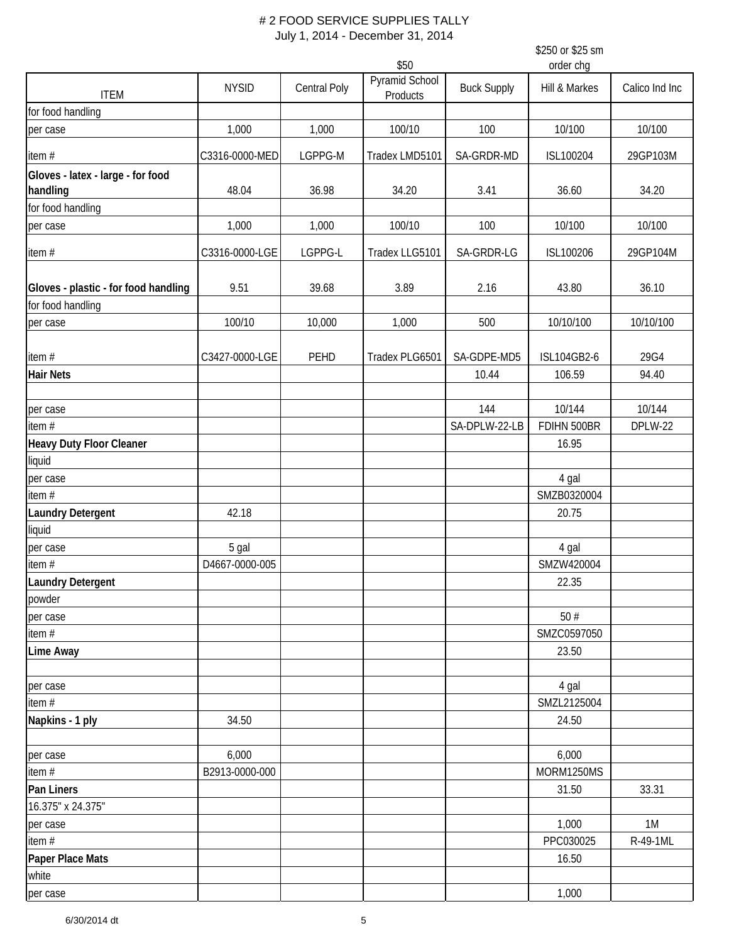\$250 or \$25 sm

\$50 order chg ITEM NYSID Central Poly Pyramid School<br>Products anna School Buck Supply Hill & Markes Calico Ind Inc for food handling per case 1,000 1,000 100/10 100 10/100 10/100 item # C3316-0000-MED LGPPG-M Tradex LMD5101 SA-GRDR-MD ISL100204 29GP103M **Gloves - latex - large - for food handling** 48.04 36.98 34.20 3.41 36.60 34.20 for food handling per case 1,000 1,000 100/10 100 10/100 10/100 item # C3316-0000-LGE LGPPG-L Tradex LLG5101 SA-GRDR-LG ISL100206 29GP104M **Gloves - plastic - for food handling | 9.51 | 39.68 | 3.89 | 2.16 | 43.80 | 36.10** for food handling per case 100/10 10,000 1,000 500 10/10/100 10/10/100 item # C3427-0000-LGE PEHD Tradex PLG6501 SA-GDPE-MD5 ISL104GB2-6 29G4 **Hair Nets** 10.44 106.59 94.40 per case 144 10/144 10/144 10/144 10/144 10/144 10/144 10/144 10/144 10/144 10/144 10/144 10/144 10/144 10/144 item # SA-DPLW-22-LB FDIHN 500BR DPLW-22 **Heavy Duty Floor Cleaner** 16.95 liquid per case and the contract of the contract of the contract of the contract of the contract of the contract of the contract of the contract of the contract of the contract of the contract of the contract of the contract of t item # SMZB0320004 **Laundry Detergent** 1 20.75 liquid per case the second control of the second second second second second second second second second second second second second second second second second second second second second second second second second second secon item # SMZW420004 SMZW420004 SMZW420004 SMZW420004 **Laundry Detergent** 22.35 powder per case  $50 \neq$ item #  $\blacksquare$  SMZC0597050 **Lime Away** 23.50 per case the contract of the contract of the contract of the contract of the contract of the contract of the contract of the contract of the contract of the contract of the contract of the contract of the contract of the c item #  $\blacksquare$  SMZL2125004 **Napkins - 1 ply** 24.50 24.50 24.50 per case 6,000 6,000 item # B2913-0000-000 MORM1250MS **Pan Liners** 31.50 33.31 16.375" x 24.375" per case 1,000 1M item # PPC030025 R-49-1ML **Paper Place Mats** 16.50 white per case the contract of the contract of the contract of the contract of the contract of the contract of the contract of the contract of the contract of the contract of the contract of the contract of the contract of the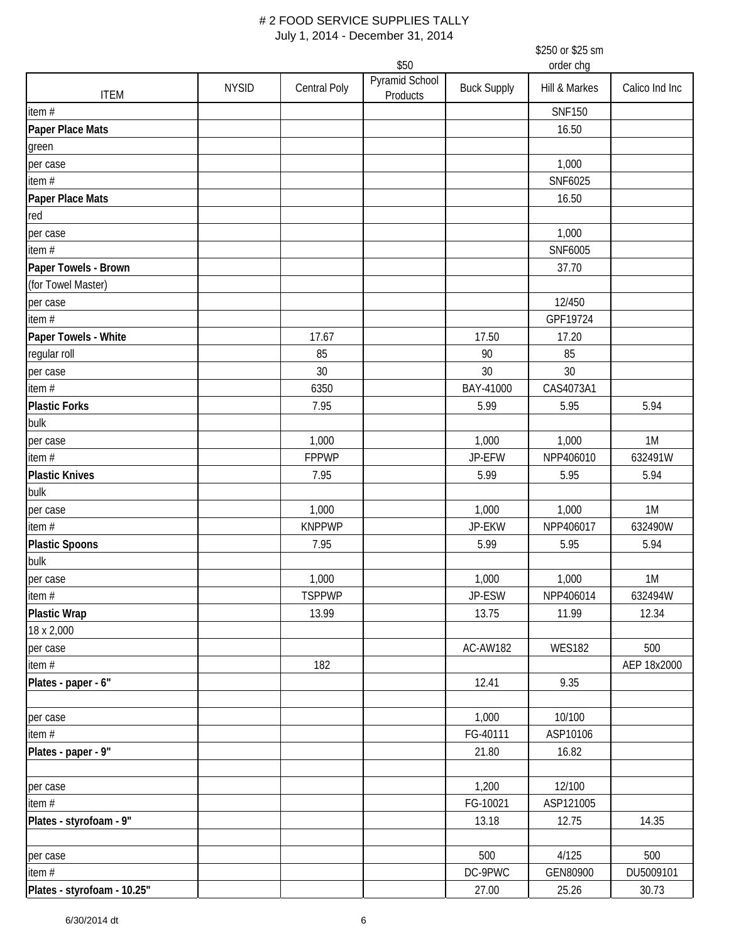\$250 or \$25 sm

|                             |              |                        | \$50                       | order chg          |               |                |  |
|-----------------------------|--------------|------------------------|----------------------------|--------------------|---------------|----------------|--|
| <b>ITEM</b>                 | <b>NYSID</b> | <b>Central Poly</b>    | Pyramid School<br>Products | <b>Buck Supply</b> | Hill & Markes | Calico Ind Inc |  |
| item#                       |              |                        |                            |                    | <b>SNF150</b> |                |  |
| Paper Place Mats            |              |                        |                            |                    | 16.50         |                |  |
| green                       |              |                        |                            |                    |               |                |  |
| per case                    |              |                        |                            |                    | 1,000         |                |  |
| item#                       |              |                        |                            |                    | SNF6025       |                |  |
| Paper Place Mats            |              |                        |                            |                    | 16.50         |                |  |
| red                         |              |                        |                            |                    |               |                |  |
| per case                    |              |                        |                            |                    | 1,000         |                |  |
| item #                      |              |                        |                            |                    | SNF6005       |                |  |
| Paper Towels - Brown        |              |                        |                            |                    | 37.70         |                |  |
| (for Towel Master)          |              |                        |                            |                    |               |                |  |
| per case                    |              |                        |                            |                    | 12/450        |                |  |
| item#                       |              |                        |                            |                    | GPF19724      |                |  |
| Paper Towels - White        |              | 17.67                  |                            | 17.50              | 17.20         |                |  |
| regular roll                |              | 85                     |                            | 90                 | 85            |                |  |
| per case                    |              | 30                     |                            | 30                 | 30            |                |  |
| item #                      |              | 6350                   |                            | BAY-41000          | CAS4073A1     |                |  |
| <b>Plastic Forks</b>        |              | 7.95                   |                            | 5.99               | 5.95          | 5.94           |  |
| bulk                        |              |                        |                            |                    |               |                |  |
| per case                    |              | 1,000                  |                            | 1,000              | 1,000         | 1M             |  |
| item#                       |              | <b>FPPWP</b>           |                            | JP-EFW             | NPP406010     | 632491W        |  |
| <b>Plastic Knives</b>       |              | 7.95                   |                            | 5.99               | 5.95          | 5.94           |  |
| bulk                        |              |                        |                            |                    |               |                |  |
|                             |              |                        |                            |                    |               | 1M             |  |
| per case                    |              | 1,000<br><b>KNPPWP</b> |                            | 1,000              | 1,000         |                |  |
| item#                       |              |                        |                            | JP-EKW             | NPP406017     | 632490W        |  |
| <b>Plastic Spoons</b>       |              | 7.95                   |                            | 5.99               | 5.95          | 5.94           |  |
| bulk                        |              |                        |                            |                    |               |                |  |
| per case                    |              | 1,000                  |                            | 1,000              | 1,000         | 1M             |  |
| $\frac{1}{\text{item}}$     |              | <b>TSPPWP</b>          |                            | JP-ESW             | NPP406014     | 632494W        |  |
| <b>Plastic Wrap</b>         |              | 13.99                  |                            | 13.75              | 11.99         | 12.34          |  |
| 18 x 2,000                  |              |                        |                            |                    |               |                |  |
| per case                    |              |                        |                            | AC-AW182           | <b>WES182</b> | 500            |  |
| item#                       |              | 182                    |                            |                    |               | AEP 18x2000    |  |
| Plates - paper - 6"         |              |                        |                            | 12.41              | 9.35          |                |  |
| per case                    |              |                        |                            | 1,000              | 10/100        |                |  |
| item#                       |              |                        |                            | FG-40111           | ASP10106      |                |  |
| Plates - paper - 9"         |              |                        |                            | 21.80              | 16.82         |                |  |
| per case                    |              |                        |                            | 1,200              | 12/100        |                |  |
| item #                      |              |                        |                            | FG-10021           | ASP121005     |                |  |
| Plates - styrofoam - 9"     |              |                        |                            | 13.18              | 12.75         | 14.35          |  |
|                             |              |                        |                            |                    |               |                |  |
| per case                    |              |                        |                            | 500                | 4/125         | 500            |  |
| item#                       |              |                        |                            | DC-9PWC            | GEN80900      | DU5009101      |  |
| Plates - styrofoam - 10.25" |              |                        |                            | 27.00              | 25.26         | 30.73          |  |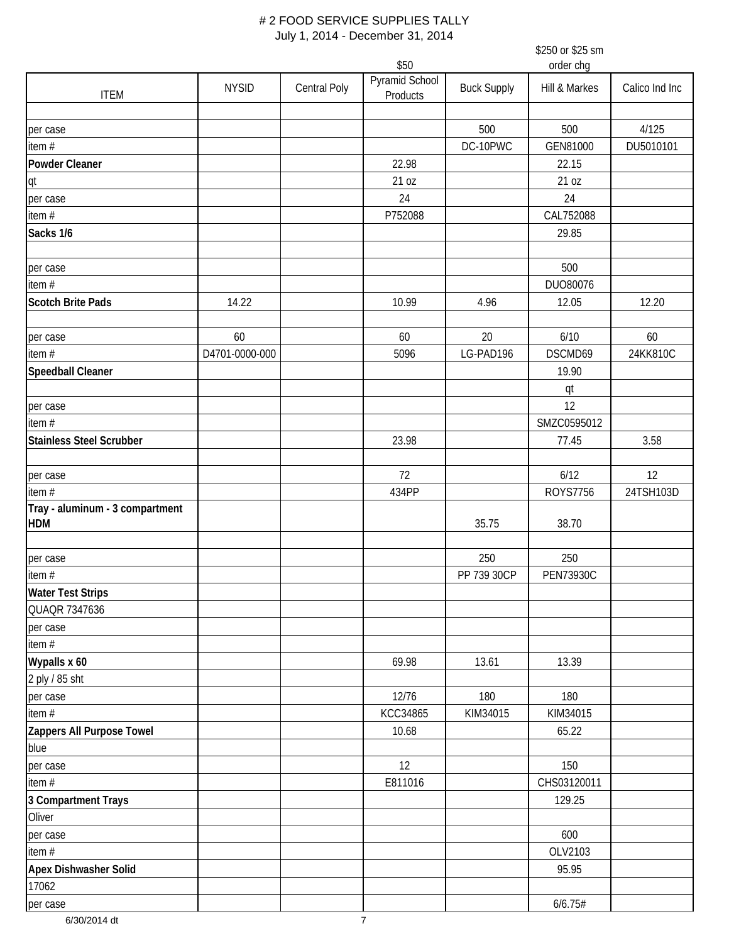\$250 or \$25 sm

\$50 order chg ITEM NYSID Central Poly Pyramid School<br>Products Pyramid School Buck Supply Hill & Markes Calico Ind Inc per case 500 500 4/125 item # DC-10PWC GEN81000 DU5010101 **Powder Cleaner** 22.15 qt 21 oz 21 oz per case 24 24 item # CAL752088 CAL752088 CAL752088 CAL752088 CAL752088 **Sacks 1/6** 29.85 per case 500 **biddens and the case of the case of the case of the case of the case of the case of the case of the case of the case of the case of the case of the case of the case of the case of the case of the case of the** item # DUO80076 **Scotch Brite Pads** 14.22 12.20 10.99 4.96 12.05 12.20 per case | 60 | 60 | 20 | 6/10 | 60 item # D4701-0000-000 5096 LG-PAD196 DSCMD69 24KK810C **Speedball Cleaner 1** 19.90 qt per case the contract of the contract of the contract of the contract of the contract of the contract of the contract of the contract of the contract of the contract of the contract of the contract of the contract of the c item #  $\blacksquare$  SMZC0595012 **Stainless Steel Scrubber** 23.98 77.45 3.58 per case 72 6/12 12 item # 434PP ROYS7756 24TSH103D **Tray - aluminum - 3 compartment HDM** 35.75 38.70 per case 250 250 item # PP 739 30CP PEN73930C **Water Test Strips** QUAQR 7347636 per case item # **Mypalls x 60 13.39** 2 ply / 85 sht per case 12/76 180 180 item # KCC34865 KIM34015 KIM34015 **Zappers All Purpose Towel 2008 10.68 10.68 10.68 10.68 10.68 10.68 10.68 10.68 10.69 10.68 10.69 10.69 10.69 10.69 10.69 10.69 10.69 10.69 10.69 10.69 10.69 10.69 10.69 10.69 10.69 10.69 10.69 10.69 10.69 10.69 10.69 10.6** blue per case 150 **12 12 12 12 12 12 12 12 12 12 12 12 130** item # E811016 CHS03120011 **3 Compartment Trays** 129.25 **Oliver** per case and the contract of the contract of the contract of the contract of the contract of the contract of the contract of the contract of the contract of the contract of the contract of the contract of the contract of t item # OLV2103 **Apex Dishwasher Solid** 95.95 17062 per case  $6/6.75#$